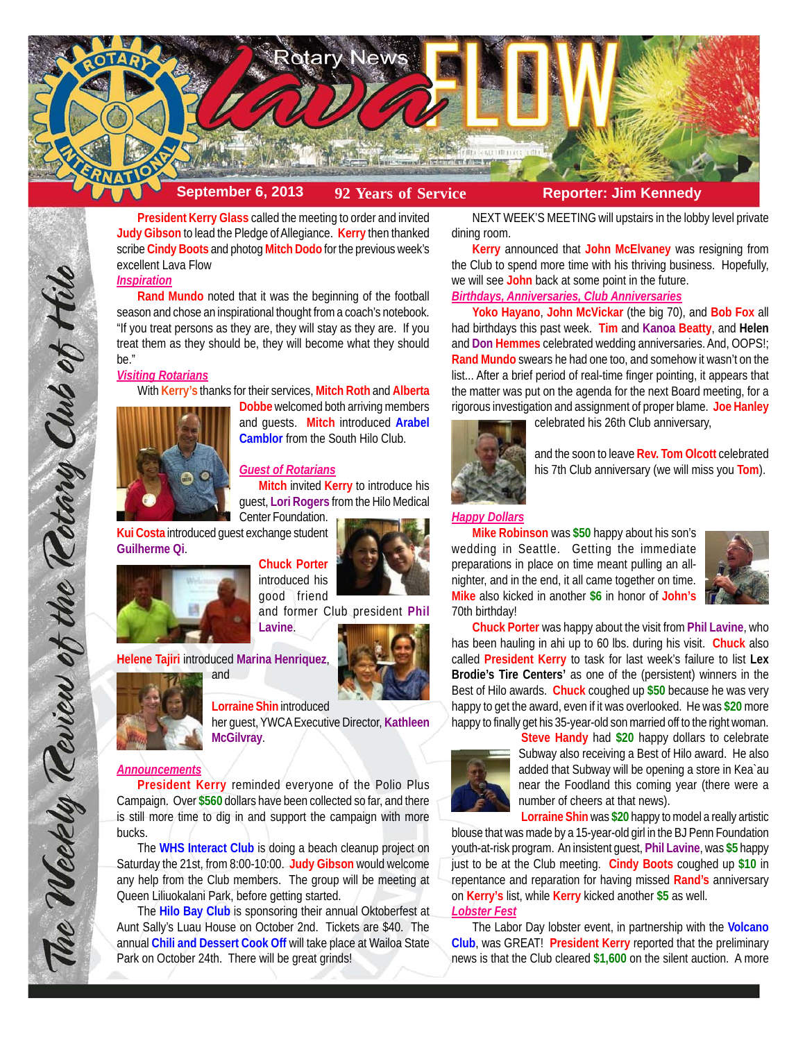

**President Kerry Glass** called the meeting to order and invited **Judy Gibson** to lead the Pledge of Allegiance. **Kerry** then thanked scribe **Cindy Boots** and photog **Mitch Dodo** for the previous week's excellent Lava Flow

## *Inspiration*

**Rand Mundo** noted that it was the beginning of the football season and chose an inspirational thought from a coach's notebook. "If you treat persons as they are, they will stay as they are. If you treat them as they should be, they will become what they should be."

## *Visiting Rotarians*

With **Kerry's** thanks for their services, **Mitch Roth** and **Alberta**



**Dobbe** welcomed both arriving members and guests. **Mitch** introduced **Arabel Camblor** from the South Hilo Club.

# *Guest of Rotarians*

**Mitch** invited **Kerry** to introduce his guest, **Lori Rogers** from the Hilo Medical Center Foundation.

**Kui Costa** introduced guest exchange student **Guilherme Qi**.



**Chuck Porter** introduced his good friend

**Helene Tajiri** introduced **Marina Henriquez**, and





The Weekly Teview of the Tetary Club of Hil

**Lorraine Shin** introduced

her guest, YWCA Executive Director, **Kathleen McGilvray**.

### *Announcements*

**President Kerry** reminded everyone of the Polio Plus Campaign. Over **\$560** dollars have been collected so far, and there is still more time to dig in and support the campaign with more bucks.

The **WHS Interact Club** is doing a beach cleanup project on Saturday the 21st, from 8:00-10:00. **Judy Gibson** would welcome any help from the Club members. The group will be meeting at Queen Liliuokalani Park, before getting started.

The **Hilo Bay Club** is sponsoring their annual Oktoberfest at Aunt Sally's Luau House on October 2nd. Tickets are \$40. The annual **Chili and Dessert Cook Off** will take place at Wailoa State Park on October 24th. There will be great grinds!

NEXT WEEK'S MEETING will upstairs in the lobby level private dining room.

**Kerry** announced that **John McElvaney** was resigning from the Club to spend more time with his thriving business. Hopefully, we will see **John** back at some point in the future.

# *Birthdays, Anniversaries, Club Anniversaries*

**Yoko Hayano**, **John McVickar** (the big 70), and **Bob Fox** all had birthdays this past week. **Tim** and **Kanoa Beatty**, and **Helen** and **Don Hemmes** celebrated wedding anniversaries. And, OOPS!; **Rand Mundo** swears he had one too, and somehow it wasn't on the list... After a brief period of real-time finger pointing, it appears that the matter was put on the agenda for the next Board meeting, for a rigorous investigation and assignment of proper blame. **Joe Hanley**



celebrated his 26th Club anniversary,

and the soon to leave **Rev. Tom Olcott** celebrated his 7th Club anniversary (we will miss you **Tom**).

### *Happy Dollars*

**Mike Robinson** was **\$50** happy about his son's wedding in Seattle. Getting the immediate preparations in place on time meant pulling an allnighter, and in the end, it all came together on time. **Mike** also kicked in another **\$6** in honor of **John's** 70th birthday!



**Chuck Porter** was happy about the visit from **Phil Lavine**, who has been hauling in ahi up to 60 lbs. during his visit. **Chuck** also called **President Kerry** to task for last week's failure to list **Lex Brodie's Tire Centers'** as one of the (persistent) winners in the Best of Hilo awards. **Chuck** coughed up **\$50** because he was very happy to get the award, even if it was overlooked. He was **\$20** more happy to finally get his 35-year-old son married off to the right woman.



**Steve Handy** had **\$20** happy dollars to celebrate Subway also receiving a Best of Hilo award. He also added that Subway will be opening a store in Kea`au near the Foodland this coming year (there were a number of cheers at that news).

**Lorraine Shin** was **\$20** happy to model a really artistic

blouse that was made by a 15-year-old girl in the BJ Penn Foundation youth-at-risk program. An insistent guest, **Phil Lavine**, was **\$5** happy just to be at the Club meeting. **Cindy Boots** coughed up **\$10** in repentance and reparation for having missed **Rand's** anniversary on **Kerry's** list, while **Kerry** kicked another **\$5** as well. *Lobster Fest*

The Labor Day lobster event, in partnership with the **Volcano Club**, was GREAT! **President Kerry** reported that the preliminary news is that the Club cleared **\$1,600** on the silent auction. A more